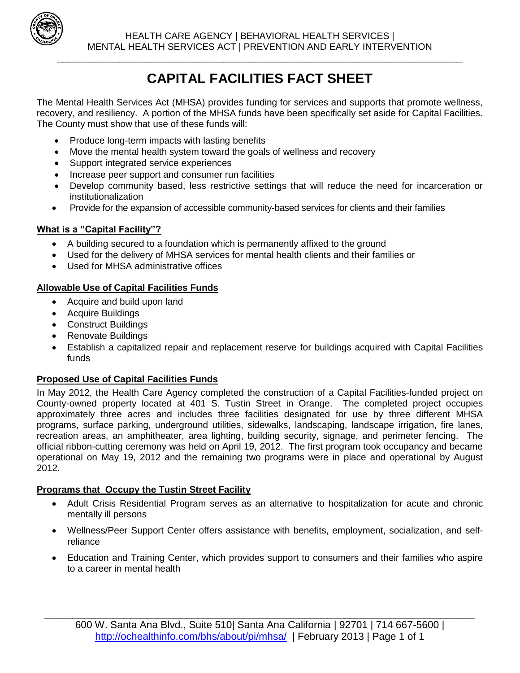

# **CAPITAL FACILITIES FACT SHEET**

\_\_\_\_\_\_\_\_\_\_\_\_\_\_\_\_\_\_\_\_\_\_\_\_\_\_\_\_\_\_\_\_\_\_\_\_\_\_\_\_\_\_\_\_\_\_\_\_\_\_\_\_\_\_\_\_\_\_\_\_\_\_\_\_\_\_\_\_\_\_\_\_\_\_\_\_\_\_

The Mental Health Services Act (MHSA) provides funding for services and supports that promote wellness, recovery, and resiliency. A portion of the MHSA funds have been specifically set aside for Capital Facilities. The County must show that use of these funds will:

- Produce long-term impacts with lasting benefits
- Move the mental health system toward the goals of wellness and recovery
- Support integrated service experiences
- Increase peer support and consumer run facilities
- Develop community based, less restrictive settings that will reduce the need for incarceration or institutionalization
- Provide for the expansion of accessible community-based services for clients and their families

### **What is a "Capital Facility"?**

- A building secured to a foundation which is permanently affixed to the ground
- Used for the delivery of MHSA services for mental health clients and their families or
- Used for MHSA administrative offices

## **Allowable Use of Capital Facilities Funds**

- Acquire and build upon land
- Acquire Buildings
- Construct Buildings
- Renovate Buildings
- Establish a capitalized repair and replacement reserve for buildings acquired with Capital Facilities funds

#### **Proposed Use of Capital Facilities Funds**

In May 2012, the Health Care Agency completed the construction of a Capital Facilities-funded project on County-owned property located at 401 S. Tustin Street in Orange. The completed project occupies approximately three acres and includes three facilities designated for use by three different MHSA programs, surface parking, underground utilities, sidewalks, landscaping, landscape irrigation, fire lanes, recreation areas, an amphitheater, area lighting, building security, signage, and perimeter fencing. The official ribbon-cutting ceremony was held on April 19, 2012. The first program took occupancy and became operational on May 19, 2012 and the remaining two programs were in place and operational by August 2012.

#### **Programs that Occupy the Tustin Street Facility**

- Adult Crisis Residential Program serves as an alternative to hospitalization for acute and chronic mentally ill persons
- Wellness/Peer Support Center offers assistance with benefits, employment, socialization, and selfreliance
- Education and Training Center, which provides support to consumers and their families who aspire to a career in mental health

\_\_\_\_\_\_\_\_\_\_\_\_\_\_\_\_\_\_\_\_\_\_\_\_\_\_\_\_\_\_\_\_\_\_\_\_\_\_\_\_\_\_\_\_\_\_\_\_\_\_\_\_\_\_\_\_\_\_\_\_\_\_\_\_\_\_\_\_\_\_\_\_\_\_\_\_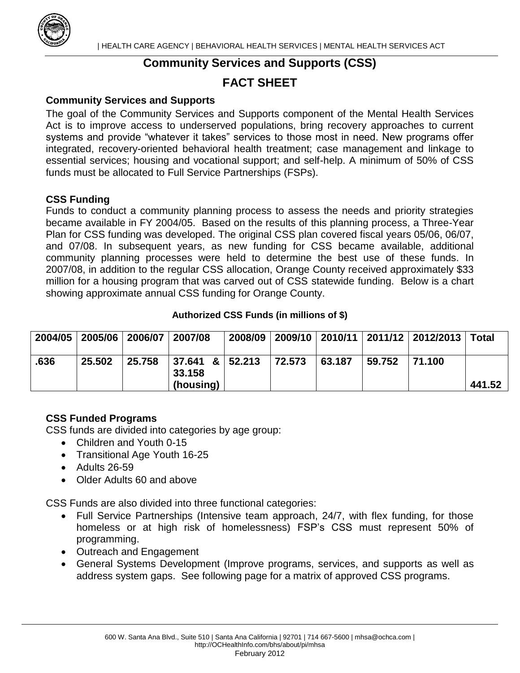

## **Community Services and Supports (CSS)**

## **FACT SHEET**

#### **Community Services and Supports**

The goal of the Community Services and Supports component of the Mental Health Services Act is to improve access to underserved populations, bring recovery approaches to current systems and provide "whatever it takes" services to those most in need. New programs offer integrated, recovery-oriented behavioral health treatment; case management and linkage to essential services; housing and vocational support; and self-help. A minimum of 50% of CSS funds must be allocated to Full Service Partnerships (FSPs).

### **CSS Funding**

Funds to conduct a community planning process to assess the needs and priority strategies became available in FY 2004/05. Based on the results of this planning process, a Three-Year Plan for CSS funding was developed. The original CSS plan covered fiscal years 05/06, 06/07, and 07/08. In subsequent years, as new funding for CSS became available, additional community planning processes were held to determine the best use of these funds. In 2007/08, in addition to the regular CSS allocation, Orange County received approximately \$33 million for a housing program that was carved out of CSS statewide funding. Below is a chart showing approximate annual CSS funding for Orange County.

#### **Authorized CSS Funds (in millions of \$)**

| 2004/05 |        | 2005/06 2006/07 | $\vert$ 2007/08                               | 2008/09 |        |        |        | 2009/10   2010/11   2011/12   2012/2013   Total |        |
|---------|--------|-----------------|-----------------------------------------------|---------|--------|--------|--------|-------------------------------------------------|--------|
| .636    | 25.502 | 25.758          | $ 37.641 \t8   52.213$<br>33.158<br>(housing) |         | 72.573 | 63.187 | 59.752 | 71.100                                          | 441.52 |

## **CSS Funded Programs**

CSS funds are divided into categories by age group:

- Children and Youth 0-15
- Transitional Age Youth 16-25
- Adults 26-59
- Older Adults 60 and above

CSS Funds are also divided into three functional categories:

- Full Service Partnerships (Intensive team approach, 24/7, with flex funding, for those homeless or at high risk of homelessness) FSP's CSS must represent 50% of programming.
- Outreach and Engagement
- General Systems Development (Improve programs, services, and supports as well as address system gaps. See following page for a matrix of approved CSS programs.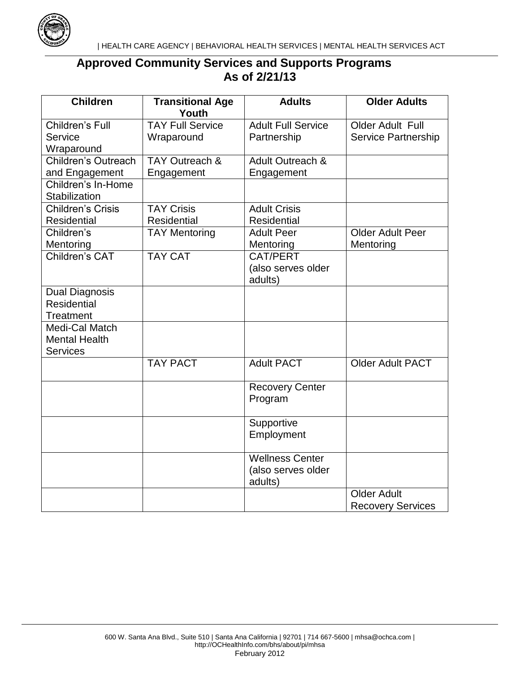

## **Approved Community Services and Supports Programs As of 2/21/13**

| <b>Children</b>          | <b>Transitional Age</b><br>Youth | <b>Adults</b>             | <b>Older Adults</b>        |  |
|--------------------------|----------------------------------|---------------------------|----------------------------|--|
| Children's Full          | <b>TAY Full Service</b>          | <b>Adult Full Service</b> | Older Adult Full           |  |
| Service                  | Wraparound                       | Partnership               | <b>Service Partnership</b> |  |
| Wraparound               |                                  |                           |                            |  |
| Children's Outreach      | TAY Outreach &                   | Adult Outreach &          |                            |  |
| and Engagement           | Engagement                       | Engagement                |                            |  |
| Children's In-Home       |                                  |                           |                            |  |
| Stabilization            |                                  |                           |                            |  |
| <b>Children's Crisis</b> | <b>TAY Crisis</b>                | <b>Adult Crisis</b>       |                            |  |
| <b>Residential</b>       | <b>Residential</b>               | <b>Residential</b>        |                            |  |
| Children's               | <b>TAY Mentoring</b>             | <b>Adult Peer</b>         | <b>Older Adult Peer</b>    |  |
| Mentoring                |                                  | Mentoring                 | Mentoring                  |  |
| Children's CAT           | <b>TAY CAT</b>                   | <b>CAT/PERT</b>           |                            |  |
|                          |                                  | (also serves older        |                            |  |
|                          |                                  | adults)                   |                            |  |
| <b>Dual Diagnosis</b>    |                                  |                           |                            |  |
| <b>Residential</b>       |                                  |                           |                            |  |
| <b>Treatment</b>         |                                  |                           |                            |  |
| Medi-Cal Match           |                                  |                           |                            |  |
| <b>Mental Health</b>     |                                  |                           |                            |  |
| <b>Services</b>          |                                  |                           |                            |  |
|                          | <b>TAY PACT</b>                  | <b>Adult PACT</b>         | <b>Older Adult PACT</b>    |  |
|                          |                                  | <b>Recovery Center</b>    |                            |  |
|                          |                                  | Program                   |                            |  |
|                          |                                  |                           |                            |  |
|                          |                                  | Supportive                |                            |  |
|                          |                                  | Employment                |                            |  |
|                          |                                  |                           |                            |  |
|                          |                                  | <b>Wellness Center</b>    |                            |  |
|                          |                                  | (also serves older        |                            |  |
|                          |                                  | adults)                   |                            |  |
|                          |                                  |                           | <b>Older Adult</b>         |  |
|                          |                                  |                           | <b>Recovery Services</b>   |  |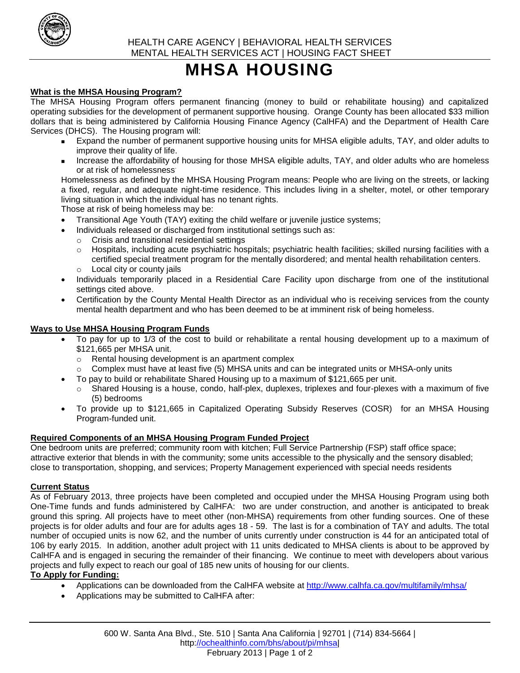

# **MHSA HOUSING**

#### **What is the MHSA Housing Program?**

The MHSA Housing Program offers permanent financing (money to build or rehabilitate housing) and capitalized operating subsidies for the development of permanent supportive housing. Orange County has been allocated \$33 million dollars that is being administered by California Housing Finance Agency (CalHFA) and the Department of Health Care Services (DHCS). The Housing program will:

- Expand the number of permanent supportive housing units for MHSA eligible adults, TAY, and older adults to improve their quality of life.
- Increase the affordability of housing for those MHSA eligible adults, TAY, and older adults who are homeless or at risk of homelessness.

Homelessness as defined by the MHSA Housing Program means: People who are living on the streets, or lacking a fixed, regular, and adequate night-time residence. This includes living in a shelter, motel, or other temporary living situation in which the individual has no tenant rights.

Those at risk of being homeless may be:

- Transitional Age Youth (TAY) exiting the child welfare or juvenile justice systems;
- Individuals released or discharged from institutional settings such as:
	- o Crisis and transitional residential settings
	- o Hospitals, including acute psychiatric hospitals; psychiatric health facilities; skilled nursing facilities with a certified special treatment program for the mentally disordered; and mental health rehabilitation centers. o Local city or county jails
- Individuals temporarily placed in a Residential Care Facility upon discharge from one of the institutional settings cited above.
- Certification by the County Mental Health Director as an individual who is receiving services from the county mental health department and who has been deemed to be at imminent risk of being homeless.

#### **Ways to Use MHSA Housing Program Funds**

- To pay for up to 1/3 of the cost to build or rehabilitate a rental housing development up to a maximum of \$121,665 per MHSA unit.
	- o Rental housing development is an apartment complex
	- o Complex must have at least five (5) MHSA units and can be integrated units or MHSA-only units
	- To pay to build or rehabilitate Shared Housing up to a maximum of \$121,665 per unit.
	- $\circ$  Shared Housing is a house, condo, half-plex, duplexes, triplexes and four-plexes with a maximum of five (5) bedrooms
- To provide up to \$121,665 in Capitalized Operating Subsidy Reserves (COSR) for an MHSA Housing Program-funded unit.

#### **Required Components of an MHSA Housing Program Funded Project**

One bedroom units are preferred; community room with kitchen; Full Service Partnership (FSP) staff office space; attractive exterior that blends in with the community; some units accessible to the physically and the sensory disabled; close to transportation, shopping, and services; Property Management experienced with special needs residents

#### **Current Status**

As of February 2013, three projects have been completed and occupied under the MHSA Housing Program using both One-Time funds and funds administered by CalHFA: two are under construction, and another is anticipated to break ground this spring. All projects have to meet other (non-MHSA) requirements from other funding sources. One of these projects is for older adults and four are for adults ages 18 - 59. The last is for a combination of TAY and adults. The total number of occupied units is now 62, and the number of units currently under construction is 44 for an anticipated total of 106 by early 2015. In addition, another adult project with 11 units dedicated to MHSA clients is about to be approved by CalHFA and is engaged in securing the remainder of their financing. We continue to meet with developers about various projects and fully expect to reach our goal of 185 new units of housing for our clients.

#### **To Apply for Funding:**

- Applications can be downloaded from the CalHFA website at <http://www.calhfa.ca.gov/multifamily/mhsa/>
- Applications may be submitted to CalHFA after: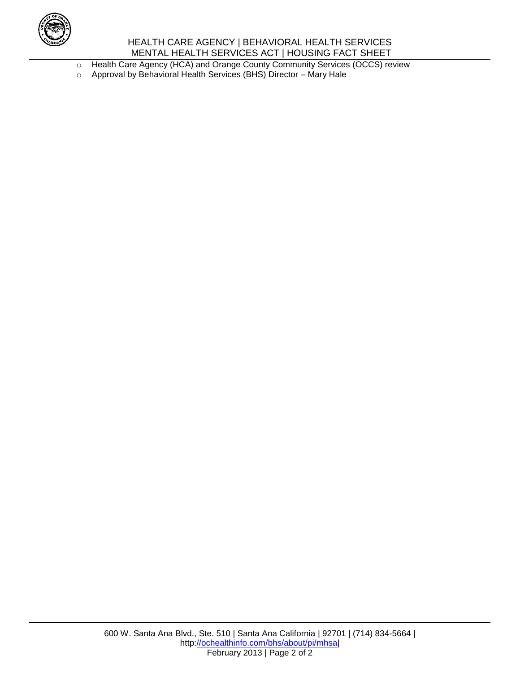

#### HEALTH CARE AGENCY | BEHAVIORAL HEALTH SERVICES MENTAL HEALTH SERVICES ACT | HOUSING FACT SHEET

o Health Care Agency (HCA) and Orange County Community Services (OCCS) review

o Approval by Behavioral Health Services (BHS) Director – Mary Hale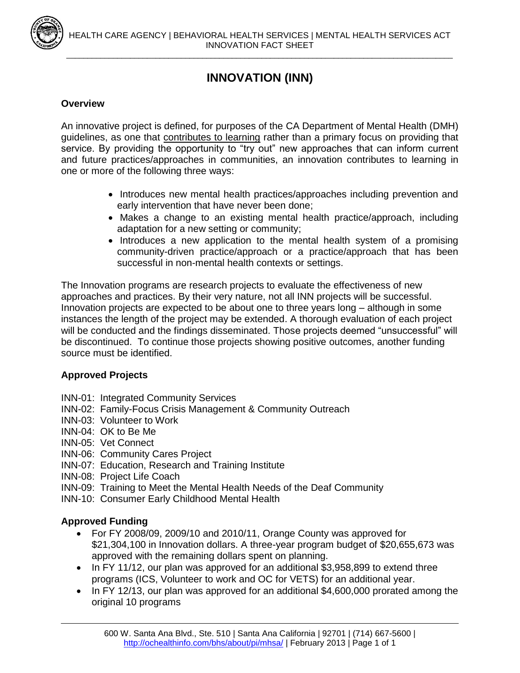

## **INNOVATION (INN)**

#### **Overview**

An innovative project is defined, for purposes of the CA Department of Mental Health (DMH) guidelines, as one that contributes to learning rather than a primary focus on providing that service. By providing the opportunity to "try out" new approaches that can inform current and future practices/approaches in communities, an innovation contributes to learning in one or more of the following three ways:

- Introduces new mental health practices/approaches including prevention and early intervention that have never been done;
- Makes a change to an existing mental health practice/approach, including adaptation for a new setting or community;
- Introduces a new application to the mental health system of a promising community-driven practice/approach or a practice/approach that has been successful in non-mental health contexts or settings.

The Innovation programs are research projects to evaluate the effectiveness of new approaches and practices. By their very nature, not all INN projects will be successful. Innovation projects are expected to be about one to three years long – although in some instances the length of the project may be extended. A thorough evaluation of each project will be conducted and the findings disseminated. Those projects deemed "unsuccessful" will be discontinued. To continue those projects showing positive outcomes, another funding source must be identified.

#### **Approved Projects**

- INN-01: Integrated Community Services
- INN-02: Family-Focus Crisis Management & Community Outreach
- INN-03: Volunteer to Work
- INN-04: OK to Be Me
- INN-05: Vet Connect
- INN-06: Community Cares Project
- INN-07: Education, Research and Training Institute
- INN-08: Project Life Coach
- INN-09: Training to Meet the Mental Health Needs of the Deaf Community
- INN-10: Consumer Early Childhood Mental Health

#### **Approved Funding**

- For FY 2008/09, 2009/10 and 2010/11, Orange County was approved for \$21,304,100 in Innovation dollars. A three-year program budget of \$20,655,673 was approved with the remaining dollars spent on planning.
- In FY 11/12, our plan was approved for an additional \$3,958,899 to extend three programs (ICS, Volunteer to work and OC for VETS) for an additional year.
- In FY 12/13, our plan was approved for an additional \$4,600,000 prorated among the original 10 programs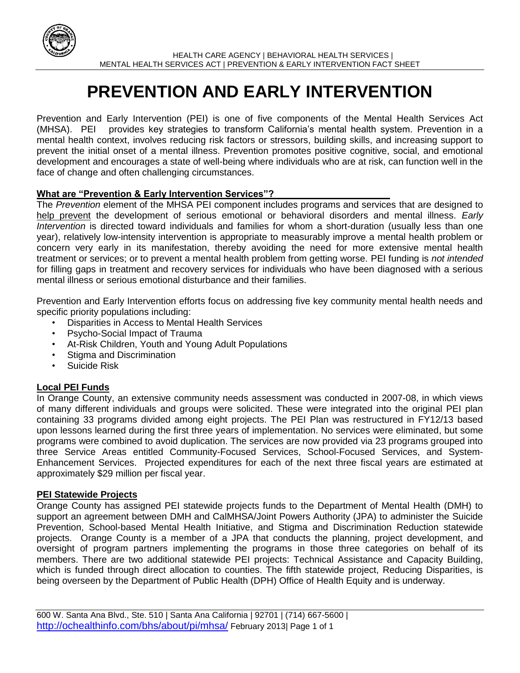

# **PREVENTION AND EARLY INTERVENTION**

Prevention and Early Intervention (PEI) is one of five components of the Mental Health Services Act (MHSA). PEI provides key strategies to transform California's mental health system. Prevention in a mental health context, involves reducing risk factors or stressors, building skills, and increasing support to prevent the initial onset of a mental illness. Prevention promotes positive cognitive, social, and emotional development and encourages a state of well-being where individuals who are at risk, can function well in the face of change and often challenging circumstances.

#### **What are "Prevention & Early Intervention Services"?**

The *Prevention* element of the MHSA PEI component includes programs and services that are designed to help prevent the development of serious emotional or behavioral disorders and mental illness. *Early Intervention* is directed toward individuals and families for whom a short-duration (usually less than one year), relatively low-intensity intervention is appropriate to measurably improve a mental health problem or concern very early in its manifestation, thereby avoiding the need for more extensive mental health treatment or services; or to prevent a mental health problem from getting worse. PEI funding is *not intended*  for filling gaps in treatment and recovery services for individuals who have been diagnosed with a serious mental illness or serious emotional disturbance and their families.

Prevention and Early Intervention efforts focus on addressing five key community mental health needs and specific priority populations including:

- Disparities in Access to Mental Health Services
- Psycho-Social Impact of Trauma
- At-Risk Children, Youth and Young Adult Populations
- Stigma and Discrimination
- Suicide Risk

#### **Local PEI Funds**

In Orange County, an extensive community needs assessment was conducted in 2007-08, in which views of many different individuals and groups were solicited. These were integrated into the original PEI plan containing 33 programs divided among eight projects. The PEI Plan was restructured in FY12/13 based upon lessons learned during the first three years of implementation. No services were eliminated, but some programs were combined to avoid duplication. The services are now provided via 23 programs grouped into three Service Areas entitled Community-Focused Services, School-Focused Services, and System-Enhancement Services. Projected expenditures for each of the next three fiscal years are estimated at approximately \$29 million per fiscal year.

#### **PEI Statewide Projects**

Orange County has assigned PEI statewide projects funds to the Department of Mental Health (DMH) to support an agreement between DMH and CalMHSA/Joint Powers Authority (JPA) to administer the Suicide Prevention, School-based Mental Health Initiative, and Stigma and Discrimination Reduction statewide projects. Orange County is a member of a JPA that conducts the planning, project development, and oversight of program partners implementing the programs in those three categories on behalf of its members. There are two additional statewide PEI projects: Technical Assistance and Capacity Building, which is funded through direct allocation to counties. The fifth statewide project, Reducing Disparities, is being overseen by the Department of Public Health (DPH) Office of Health Equity and is underway.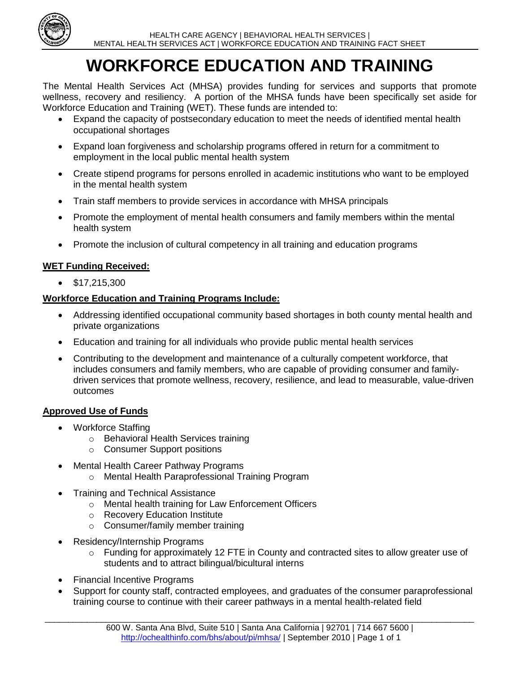

# **WORKFORCE EDUCATION AND TRAINING**

The Mental Health Services Act (MHSA) provides funding for services and supports that promote wellness, recovery and resiliency. A portion of the MHSA funds have been specifically set aside for Workforce Education and Training (WET). These funds are intended to:

- Expand the capacity of postsecondary education to meet the needs of identified mental health occupational shortages
- Expand loan forgiveness and scholarship programs offered in return for a commitment to employment in the local public mental health system
- Create stipend programs for persons enrolled in academic institutions who want to be employed in the mental health system
- Train staff members to provide services in accordance with MHSA principals
- Promote the employment of mental health consumers and family members within the mental health system
- Promote the inclusion of cultural competency in all training and education programs

## **WET Funding Received:**

 $\bullet$  \$17,215,300

### **Workforce Education and Training Programs Include:**

- Addressing identified occupational community based shortages in both county mental health and private organizations
- Education and training for all individuals who provide public mental health services
- Contributing to the development and maintenance of a culturally competent workforce, that includes consumers and family members, who are capable of providing consumer and familydriven services that promote wellness, recovery, resilience, and lead to measurable, value-driven outcomes

#### **Approved Use of Funds**

- Workforce Staffing
	- o Behavioral Health Services training
	- o Consumer Support positions
- Mental Health Career Pathway Programs
	- o Mental Health Paraprofessional Training Program
- Training and Technical Assistance
	- o Mental health training for Law Enforcement Officers
	- o Recovery Education Institute
	- o Consumer/family member training
- Residency/Internship Programs
	- $\circ$  Funding for approximately 12 FTE in County and contracted sites to allow greater use of students and to attract bilingual/bicultural interns
- Financial Incentive Programs
- Support for county staff, contracted employees, and graduates of the consumer paraprofessional training course to continue with their career pathways in a mental health-related field